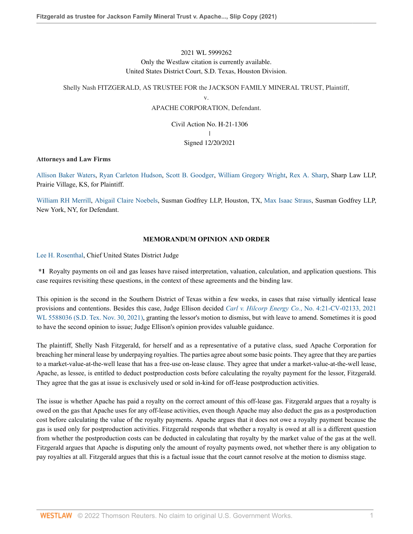# 2021 WL 5999262 Only the Westlaw citation is currently available. United States District Court, S.D. Texas, Houston Division.

# Shelly Nash FITZGERALD, AS TRUSTEE FOR the JACKSON FAMILY MINERAL TRUST, Plaintiff,

v.

# APACHE CORPORATION, Defendant.

Civil Action No. H-21-1306  $\mathbf{I}$ | Signed 12/20/2021

#### **Attorneys and Law Firms**

[Allison Baker Waters](http://www.westlaw.com/Link/Document/FullText?findType=h&pubNum=176284&cite=0157231901&originatingDoc=I57458990623011ec8337ad9f61f6c691&refType=RQ&originationContext=document&vr=3.0&rs=cblt1.0&transitionType=DocumentItem&contextData=(sc.Default)), [Ryan Carleton Hudson](http://www.westlaw.com/Link/Document/FullText?findType=h&pubNum=176284&cite=0370263801&originatingDoc=I57458990623011ec8337ad9f61f6c691&refType=RQ&originationContext=document&vr=3.0&rs=cblt1.0&transitionType=DocumentItem&contextData=(sc.Default)), [Scott B. Goodger](http://www.westlaw.com/Link/Document/FullText?findType=h&pubNum=176284&cite=0506560901&originatingDoc=I57458990623011ec8337ad9f61f6c691&refType=RQ&originationContext=document&vr=3.0&rs=cblt1.0&transitionType=DocumentItem&contextData=(sc.Default)), [William Gregory Wright,](http://www.westlaw.com/Link/Document/FullText?findType=h&pubNum=176284&cite=0114100001&originatingDoc=I57458990623011ec8337ad9f61f6c691&refType=RQ&originationContext=document&vr=3.0&rs=cblt1.0&transitionType=DocumentItem&contextData=(sc.Default)) [Rex A. Sharp](http://www.westlaw.com/Link/Document/FullText?findType=h&pubNum=176284&cite=0212187401&originatingDoc=I57458990623011ec8337ad9f61f6c691&refType=RQ&originationContext=document&vr=3.0&rs=cblt1.0&transitionType=DocumentItem&contextData=(sc.Default)), Sharp Law LLP, Prairie Village, KS, for Plaintiff.

[William RH Merrill,](http://www.westlaw.com/Link/Document/FullText?findType=h&pubNum=176284&cite=0322650901&originatingDoc=I57458990623011ec8337ad9f61f6c691&refType=RQ&originationContext=document&vr=3.0&rs=cblt1.0&transitionType=DocumentItem&contextData=(sc.Default)) [Abigail Claire Noebels,](http://www.westlaw.com/Link/Document/FullText?findType=h&pubNum=176284&cite=0481311801&originatingDoc=I57458990623011ec8337ad9f61f6c691&refType=RQ&originationContext=document&vr=3.0&rs=cblt1.0&transitionType=DocumentItem&contextData=(sc.Default)) Susman Godfrey LLP, Houston, TX, [Max Isaac Straus,](http://www.westlaw.com/Link/Document/FullText?findType=h&pubNum=176284&cite=0513249501&originatingDoc=I57458990623011ec8337ad9f61f6c691&refType=RQ&originationContext=document&vr=3.0&rs=cblt1.0&transitionType=DocumentItem&contextData=(sc.Default)) Susman Godfrey LLP, New York, NY, for Defendant.

# **MEMORANDUM OPINION AND ORDER**

[Lee H. Rosenthal,](http://www.westlaw.com/Link/Document/FullText?findType=h&pubNum=176284&cite=0223843401&originatingDoc=I57458990623011ec8337ad9f61f6c691&refType=RQ&originationContext=document&vr=3.0&rs=cblt1.0&transitionType=DocumentItem&contextData=(sc.Default)) Chief United States District Judge

**\*1** Royalty payments on oil and gas leases have raised interpretation, valuation, calculation, and application questions. This case requires revisiting these questions, in the context of these agreements and the binding law.

This opinion is the second in the Southern District of Texas within a few weeks, in cases that raise virtually identical lease provisions and contentions. Besides this case, Judge Ellison decided *Carl v. Hilcorp Energy Co.*[, No. 4:21-CV-02133, 2021](http://www.westlaw.com/Link/Document/FullText?findType=Y&serNum=2055069371&pubNum=0000999&originatingDoc=I57458990623011ec8337ad9f61f6c691&refType=RP&originationContext=document&vr=3.0&rs=cblt1.0&transitionType=DocumentItem&contextData=(sc.Default)) [WL 5588036 \(S.D. Tex. Nov. 30, 2021\)](http://www.westlaw.com/Link/Document/FullText?findType=Y&serNum=2055069371&pubNum=0000999&originatingDoc=I57458990623011ec8337ad9f61f6c691&refType=RP&originationContext=document&vr=3.0&rs=cblt1.0&transitionType=DocumentItem&contextData=(sc.Default)), granting the lessor's motion to dismiss, but with leave to amend. Sometimes it is good to have the second opinion to issue; Judge Ellison's opinion provides valuable guidance.

The plaintiff, Shelly Nash Fitzgerald, for herself and as a representative of a putative class, sued Apache Corporation for breaching her mineral lease by underpaying royalties. The parties agree about some basic points. They agree that they are parties to a market-value-at-the-well lease that has a free-use on-lease clause. They agree that under a market-value-at-the-well lease, Apache, as lessee, is entitled to deduct postproduction costs before calculating the royalty payment for the lessor, Fitzgerald. They agree that the gas at issue is exclusively used or sold in-kind for off-lease postproduction activities.

The issue is whether Apache has paid a royalty on the correct amount of this off-lease gas. Fitzgerald argues that a royalty is owed on the gas that Apache uses for any off-lease activities, even though Apache may also deduct the gas as a postproduction cost before calculating the value of the royalty payments. Apache argues that it does not owe a royalty payment because the gas is used only for postproduction activities. Fitzgerald responds that whether a royalty is owed at all is a different question from whether the postproduction costs can be deducted in calculating that royalty by the market value of the gas at the well. Fitzgerald argues that Apache is disputing only the amount of royalty payments owed, not whether there is any obligation to pay royalties at all. Fitzgerald argues that this is a factual issue that the court cannot resolve at the motion to dismiss stage.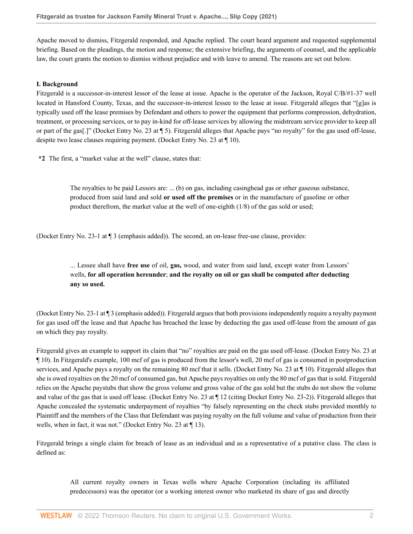Apache moved to dismiss, Fitzgerald responded, and Apache replied. The court heard argument and requested supplemental briefing. Based on the pleadings, the motion and response; the extensive briefing, the arguments of counsel, and the applicable law, the court grants the motion to dismiss without prejudice and with leave to amend. The reasons are set out below.

#### **I. Background**

Fitzgerald is a successor-in-interest lessor of the lease at issue. Apache is the operator of the Jackson, Royal C/B/#1-37 well located in Hansford County, Texas, and the successor-in-interest lessee to the lease at issue. Fitzgerald alleges that "[g]as is typically used off the lease premises by Defendant and others to power the equipment that performs compression, dehydration, treatment, or processing services, or to pay in-kind for off-lease services by allowing the midstream service provider to keep all or part of the gas[.]" (Docket Entry No. 23 at ¶ 5). Fitzgerald alleges that Apache pays "no royalty" for the gas used off-lease, despite two lease clauses requiring payment. (Docket Entry No. 23 at ¶ 10).

**\*2** The first, a "market value at the well" clause, states that:

The royalties to be paid Lessors are: ... (b) on gas, including casinghead gas or other gaseous substance, produced from said land and sold **or used off the premises** or in the manufacture of gasoline or other product therefrom, the market value at the well of one-eighth (1/8) of the gas sold or used;

(Docket Entry No. 23-1 at ¶ 3 (emphasis added)). The second, an on-lease free-use clause, provides:

# ... Lessee shall have **free use** of oil, **gas,** wood, and water from said land, except water from Lessors' wells, **for all operation hereunder**; **and the royalty on oil or gas shall be computed after deducting any so used.**

(Docket Entry No. 23-1 at ¶ 3 (emphasis added)). Fitzgerald argues that both provisions independently require a royalty payment for gas used off the lease and that Apache has breached the lease by deducting the gas used off-lease from the amount of gas on which they pay royalty.

Fitzgerald gives an example to support its claim that "no" royalties are paid on the gas used off-lease. (Docket Entry No. 23 at ¶ 10). In Fitzgerald's example, 100 mcf of gas is produced from the lessor's well, 20 mcf of gas is consumed in postproduction services, and Apache pays a royalty on the remaining 80 mcf that it sells. (Docket Entry No. 23 at ¶ 10). Fitzgerald alleges that she is owed royalties on the 20 mcf of consumed gas, but Apache pays royalties on only the 80 mcf of gas that is sold. Fitzgerald relies on the Apache paystubs that show the gross volume and gross value of the gas sold but the stubs do not show the volume and value of the gas that is used off lease. (Docket Entry No. 23 at ¶ 12 (citing Docket Entry No. 23-2)). Fitzgerald alleges that Apache concealed the systematic underpayment of royalties "by falsely representing on the check stubs provided monthly to Plaintiff and the members of the Class that Defendant was paying royalty on the full volume and value of production from their wells, when in fact, it was not." (Docket Entry No. 23 at ¶ 13).

Fitzgerald brings a single claim for breach of lease as an individual and as a representative of a putative class. The class is defined as:

> All current royalty owners in Texas wells where Apache Corporation (including its affiliated predecessors) was the operator (or a working interest owner who marketed its share of gas and directly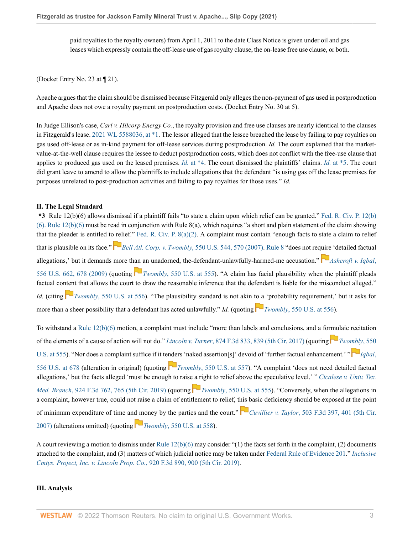paid royalties to the royalty owners) from April 1, 2011 to the date Class Notice is given under oil and gas leases which expressly contain the off-lease use of gas royalty clause, the on-lease free use clause, or both.

(Docket Entry No. 23 at ¶ 21).

Apache argues that the claim should be dismissed because Fitzgerald only alleges the non-payment of gas used in postproduction and Apache does not owe a royalty payment on postproduction costs. (Docket Entry No. 30 at 5).

In Judge Ellison's case, *Carl v. Hilcorp Energy Co.*, the royalty provision and free use clauses are nearly identical to the clauses in Fitzgerald's lease. [2021 WL 5588036, at \\*1](http://www.westlaw.com/Link/Document/FullText?findType=Y&serNum=2055069371&pubNum=0000999&originatingDoc=I57458990623011ec8337ad9f61f6c691&refType=RP&fi=co_pp_sp_999_1&originationContext=document&vr=3.0&rs=cblt1.0&transitionType=DocumentItem&contextData=(sc.Default)#co_pp_sp_999_1). The lessor alleged that the lessee breached the lease by failing to pay royalties on gas used off-lease or as in-kind payment for off-lease services during postproduction. *Id.* The court explained that the marketvalue-at-the-well clause requires the lessee to deduct postproduction costs, which does not conflict with the free-use clause that applies to produced gas used on the leased premises. *Id.* [at \\*4.](http://www.westlaw.com/Link/Document/FullText?findType=Y&serNum=2055069371&pubNum=0000999&originatingDoc=I57458990623011ec8337ad9f61f6c691&refType=RP&originationContext=document&vr=3.0&rs=cblt1.0&transitionType=DocumentItem&contextData=(sc.Default)) The court dismissed the plaintiffs' claims. *Id.* [at \\*5.](http://www.westlaw.com/Link/Document/FullText?findType=Y&serNum=2055069371&pubNum=0000999&originatingDoc=I57458990623011ec8337ad9f61f6c691&refType=RP&originationContext=document&vr=3.0&rs=cblt1.0&transitionType=DocumentItem&contextData=(sc.Default)) The court did grant leave to amend to allow the plaintiffs to include allegations that the defendant "is using gas off the lease premises for purposes unrelated to post-production activities and failing to pay royalties for those uses." *Id.*

#### **II. The Legal Standard**

**\*3** Rule 12(b)(6) allows dismissal if a plaintiff fails "to state a claim upon which relief can be granted." [Fed. R. Civ. P. 12\(b\)](http://www.westlaw.com/Link/Document/FullText?findType=L&pubNum=1000600&cite=USFRCPR12&originatingDoc=I57458990623011ec8337ad9f61f6c691&refType=LQ&originationContext=document&vr=3.0&rs=cblt1.0&transitionType=DocumentItem&contextData=(sc.Default)) [\(6\). Rule 12\(b\)\(6\)](http://www.westlaw.com/Link/Document/FullText?findType=L&pubNum=1000600&cite=USFRCPR12&originatingDoc=I57458990623011ec8337ad9f61f6c691&refType=LQ&originationContext=document&vr=3.0&rs=cblt1.0&transitionType=DocumentItem&contextData=(sc.Default)) must be read in conjunction with Rule 8(a), which requires "a short and plain statement of the claim showing that the pleader is entitled t[o rel](https://1.next.westlaw.com/Link/RelatedInformation/Flag?documentGuid=Ib53eb62e07a011dcb035bac3a32ef289&transitionType=InlineKeyCiteFlags&originationContext=docHeaderFlag&Rank=0&ppcid=3c308989805d4dd98b5a3b095cdaeed4&contextData=(sc.Default) )ief." Fed. R. Civ. P.  $8(a)(2)$ . A complaint must contain "enough facts to state a claim to relief that is plausible on its face." *Bell Atl. Corp. v. Twombly*[, 550 U.S. 544, 570 \(2007\)](http://www.westlaw.com/Link/Document/FullText?findType=Y&serNum=2012293296&pubNum=0000780&originatingDoc=I57458990623011ec8337ad9f61f6c691&refType=RP&fi=co_pp_sp_780_570&originationContext=document&vr=3.0&rs=cblt1.0&transitionType=DocumentItem&contextData=(sc.Default)#co_pp_sp_780_570). [Rule 8](http://www.westlaw.com/Link/Document/FullText?findType=L&pubNum=1000600&cite=USFRCPR8&originatingDoc=I57458990623011ec8337ad9f61f6c691&refType=LQ&originationContext=document&vr=3.0&rs=cblt1.0&transitionType=DocumentItem&contextData=(sc.Default)) "does not req[uire](https://1.next.westlaw.com/Link/RelatedInformation/Flag?documentGuid=I90623386439011de8bf6cd8525c41437&transitionType=InlineKeyCiteFlags&originationContext=docHeaderFlag&Rank=0&ppcid=3c308989805d4dd98b5a3b095cdaeed4&contextData=(sc.Default) ) 'detailed factual allegations,' but it demands more t[han a](https://1.next.westlaw.com/Link/RelatedInformation/Flag?documentGuid=Ib53eb62e07a011dcb035bac3a32ef289&transitionType=InlineKeyCiteFlags&originationContext=docHeaderFlag&Rank=0&ppcid=3c308989805d4dd98b5a3b095cdaeed4&contextData=(sc.Default) )n unadorned, the-defendant-unlawfully-harmed-me accusation." **[Ashcroft v. Iqbal](http://www.westlaw.com/Link/Document/FullText?findType=Y&serNum=2018848474&pubNum=0000780&originatingDoc=I57458990623011ec8337ad9f61f6c691&refType=RP&fi=co_pp_sp_780_678&originationContext=document&vr=3.0&rs=cblt1.0&transitionType=DocumentItem&contextData=(sc.Default)#co_pp_sp_780_678)**, [556 U.S. 662, 678 \(2009\)](http://www.westlaw.com/Link/Document/FullText?findType=Y&serNum=2018848474&pubNum=0000780&originatingDoc=I57458990623011ec8337ad9f61f6c691&refType=RP&fi=co_pp_sp_780_678&originationContext=document&vr=3.0&rs=cblt1.0&transitionType=DocumentItem&contextData=(sc.Default)#co_pp_sp_780_678) (quoting *Twombly*[, 550 U.S. at 555\)](http://www.westlaw.com/Link/Document/FullText?findType=Y&serNum=2012293296&pubNum=0000780&originatingDoc=I57458990623011ec8337ad9f61f6c691&refType=RP&fi=co_pp_sp_780_555&originationContext=document&vr=3.0&rs=cblt1.0&transitionType=DocumentItem&contextData=(sc.Default)#co_pp_sp_780_555). "A claim has facial plausibility when the plaintiff pleads factual co[nten](https://1.next.westlaw.com/Link/RelatedInformation/Flag?documentGuid=Ib53eb62e07a011dcb035bac3a32ef289&transitionType=InlineKeyCiteFlags&originationContext=docHeaderFlag&Rank=0&ppcid=3c308989805d4dd98b5a3b095cdaeed4&contextData=(sc.Default) )t that allows the court to draw the reasonable inference that the defendant is liable for the misconduct alleged." *Id.* (citing **T***NWWmbly,* 550 U.S. at 556). "The plausibility standard is not akin [to a](https://1.next.westlaw.com/Link/RelatedInformation/Flag?documentGuid=Ib53eb62e07a011dcb035bac3a32ef289&transitionType=InlineKeyCiteFlags&originationContext=docHeaderFlag&Rank=0&ppcid=3c308989805d4dd98b5a3b095cdaeed4&contextData=(sc.Default) ) 'probability requirement,' but it asks for more than a sheer possibility that a defendant has acted unlawfully." *Id.* (quoting  $\Box$  *Twombly*[, 550 U.S. at 556\)](http://www.westlaw.com/Link/Document/FullText?findType=Y&serNum=2012293296&pubNum=0000780&originatingDoc=I57458990623011ec8337ad9f61f6c691&refType=RP&fi=co_pp_sp_780_556&originationContext=document&vr=3.0&rs=cblt1.0&transitionType=DocumentItem&contextData=(sc.Default)#co_pp_sp_780_556).

To withstand a [Rule 12\(b\)\(6\)](http://www.westlaw.com/Link/Document/FullText?findType=L&pubNum=1000600&cite=USFRCPR12&originatingDoc=I57458990623011ec8337ad9f61f6c691&refType=LQ&originationContext=document&vr=3.0&rs=cblt1.0&transitionType=DocumentItem&contextData=(sc.Default)) motion, a complaint must include "more than labels and conclusions, and a fo[rmu](https://1.next.westlaw.com/Link/RelatedInformation/Flag?documentGuid=Ib53eb62e07a011dcb035bac3a32ef289&transitionType=InlineKeyCiteFlags&originationContext=docHeaderFlag&Rank=0&ppcid=3c308989805d4dd98b5a3b095cdaeed4&contextData=(sc.Default) )laic recitation of the elements of a cause of action will not do." *Lincoln v. Turner*[, 874 F.3d 833, 839 \(5th Cir. 2017\)](http://www.westlaw.com/Link/Document/FullText?findType=Y&serNum=2042998692&pubNum=0000506&originatingDoc=I57458990623011ec8337ad9f61f6c691&refType=RP&fi=co_pp_sp_506_839&originationContext=document&vr=3.0&rs=cblt1.0&transitionType=DocumentItem&contextData=(sc.Default)#co_pp_sp_506_839) (quoting *[Twombly](http://www.westlaw.com/Link/Document/FullText?findType=Y&serNum=2012293296&pubNum=0000780&originatingDoc=I57458990623011ec8337ad9f61f6c691&refType=RP&fi=co_pp_sp_780_555&originationContext=document&vr=3.0&rs=cblt1.0&transitionType=DocumentItem&contextData=(sc.Default)#co_pp_sp_780_555)*, 550 [U.S. at 555](http://www.westlaw.com/Link/Document/FullText?findType=Y&serNum=2012293296&pubNum=0000780&originatingDoc=I57458990623011ec8337ad9f61f6c691&refType=RP&fi=co_pp_sp_780_555&originationContext=document&vr=3.0&rs=cblt1.0&transitionType=DocumentItem&contextData=(sc.Default)#co_pp_sp_780_555)). "Nor does a complaint suffice if it te[nde](https://1.next.westlaw.com/Link/RelatedInformation/Flag?documentGuid=Ib53eb62e07a011dcb035bac3a32ef289&transitionType=InlineKeyCiteFlags&originationContext=docHeaderFlag&Rank=0&ppcid=3c308989805d4dd98b5a3b095cdaeed4&contextData=(sc.Default) )rs 'naked assertion[s]' devoid of 'further factual enhancement.' " [556 U.S. at 678](http://www.westlaw.com/Link/Document/FullText?findType=Y&serNum=2018848474&pubNum=0000780&originatingDoc=I57458990623011ec8337ad9f61f6c691&refType=RP&fi=co_pp_sp_780_678&originationContext=document&vr=3.0&rs=cblt1.0&transitionType=DocumentItem&contextData=(sc.Default)#co_pp_sp_780_678) (alteration in original) (quoting **T**wombly[, 550 U.S. at 557\)](http://www.westlaw.com/Link/Document/FullText?findType=Y&serNum=2012293296&pubNum=0000780&originatingDoc=I57458990623011ec8337ad9f61f6c691&refType=RP&fi=co_pp_sp_780_557&originationContext=document&vr=3.0&rs=cblt1.0&transitionType=DocumentItem&contextData=(sc.Default)#co_pp_sp_780_557). "A complaint 'does not need detailed factual allegations,' but the facts alleged 'must be enough to rais[e a r](https://1.next.westlaw.com/Link/RelatedInformation/Flag?documentGuid=Ib53eb62e07a011dcb035bac3a32ef289&transitionType=InlineKeyCiteFlags&originationContext=docHeaderFlag&Rank=0&ppcid=3c308989805d4dd98b5a3b095cdaeed4&contextData=(sc.Default) )ight to relief above the speculative level.' " *[Cicalese v. Univ. Tex.](http://www.westlaw.com/Link/Document/FullText?findType=Y&serNum=2048277828&pubNum=0000506&originatingDoc=I57458990623011ec8337ad9f61f6c691&refType=RP&fi=co_pp_sp_506_765&originationContext=document&vr=3.0&rs=cblt1.0&transitionType=DocumentItem&contextData=(sc.Default)#co_pp_sp_506_765) Med. Branch*[, 924 F.3d 762, 765 \(5th Cir. 2019\)](http://www.westlaw.com/Link/Document/FullText?findType=Y&serNum=2048277828&pubNum=0000506&originatingDoc=I57458990623011ec8337ad9f61f6c691&refType=RP&fi=co_pp_sp_506_765&originationContext=document&vr=3.0&rs=cblt1.0&transitionType=DocumentItem&contextData=(sc.Default)#co_pp_sp_506_765) (quoting **T**wombly[, 550 U.S. at 555](http://www.westlaw.com/Link/Document/FullText?findType=Y&serNum=2012293296&pubNum=0000780&originatingDoc=I57458990623011ec8337ad9f61f6c691&refType=RP&fi=co_pp_sp_780_555&originationContext=document&vr=3.0&rs=cblt1.0&transitionType=DocumentItem&contextData=(sc.Default)#co_pp_sp_780_555)). "Conversely, when the allegations in a complaint, however true, could not raise a claim of entitlement to relief, t[his b](https://1.next.westlaw.com/Link/RelatedInformation/Flag?documentGuid=I0b0cb16e736311dca1e6fa81e64372bf&transitionType=InlineKeyCiteFlags&originationContext=docHeaderFlag&Rank=0&ppcid=3c308989805d4dd98b5a3b095cdaeed4&contextData=(sc.Default) )asic deficiency should be exposed at the point of minimum expenditure of time an[d m](https://1.next.westlaw.com/Link/RelatedInformation/Flag?documentGuid=Ib53eb62e07a011dcb035bac3a32ef289&transitionType=InlineKeyCiteFlags&originationContext=docHeaderFlag&Rank=0&ppcid=3c308989805d4dd98b5a3b095cdaeed4&contextData=(sc.Default) )oney by the parties and the court." *Cuvillier v. Taylor*[, 503 F.3d 397, 401 \(5th Cir.](http://www.westlaw.com/Link/Document/FullText?findType=Y&serNum=2013442576&pubNum=0000506&originatingDoc=I57458990623011ec8337ad9f61f6c691&refType=RP&fi=co_pp_sp_506_401&originationContext=document&vr=3.0&rs=cblt1.0&transitionType=DocumentItem&contextData=(sc.Default)#co_pp_sp_506_401) [2007\)](http://www.westlaw.com/Link/Document/FullText?findType=Y&serNum=2013442576&pubNum=0000506&originatingDoc=I57458990623011ec8337ad9f61f6c691&refType=RP&fi=co_pp_sp_506_401&originationContext=document&vr=3.0&rs=cblt1.0&transitionType=DocumentItem&contextData=(sc.Default)#co_pp_sp_506_401) (alterations omitted) (quoting *Twombly*[, 550 U.S. at 558](http://www.westlaw.com/Link/Document/FullText?findType=Y&serNum=2012293296&pubNum=0000780&originatingDoc=I57458990623011ec8337ad9f61f6c691&refType=RP&fi=co_pp_sp_780_558&originationContext=document&vr=3.0&rs=cblt1.0&transitionType=DocumentItem&contextData=(sc.Default)#co_pp_sp_780_558)).

A court reviewing a motion to dismiss under Rule  $12(b)(6)$  may consider "(1) the facts set forth in the complaint, (2) documents attached to the complaint, and (3) matters of which judicial notice may be taken under [Federal Rule of Evidence 201.](http://www.westlaw.com/Link/Document/FullText?findType=L&pubNum=1000607&cite=USFRER201&originatingDoc=I57458990623011ec8337ad9f61f6c691&refType=LQ&originationContext=document&vr=3.0&rs=cblt1.0&transitionType=DocumentItem&contextData=(sc.Default))" *[Inclusive](http://www.westlaw.com/Link/Document/FullText?findType=Y&serNum=2047958798&pubNum=0000506&originatingDoc=I57458990623011ec8337ad9f61f6c691&refType=RP&fi=co_pp_sp_506_900&originationContext=document&vr=3.0&rs=cblt1.0&transitionType=DocumentItem&contextData=(sc.Default)#co_pp_sp_506_900) [Cmtys. Project, Inc. v. Lincoln Prop. Co.](http://www.westlaw.com/Link/Document/FullText?findType=Y&serNum=2047958798&pubNum=0000506&originatingDoc=I57458990623011ec8337ad9f61f6c691&refType=RP&fi=co_pp_sp_506_900&originationContext=document&vr=3.0&rs=cblt1.0&transitionType=DocumentItem&contextData=(sc.Default)#co_pp_sp_506_900)*, 920 F.3d 890, 900 (5th Cir. 2019).

#### **III. Analysis**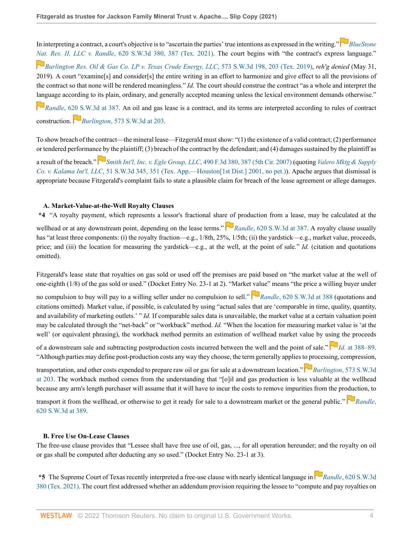In interpreting a contract, a court's objective is to "ascertain the parties' true intentions as expressed in the writing." *[BlueStone](http://www.westlaw.com/Link/Document/FullText?findType=Y&serNum=2053232417&pubNum=0004644&originatingDoc=I57458990623011ec8337ad9f61f6c691&refType=RP&fi=co_pp_sp_4644_387&originationContext=document&vr=3.0&rs=cblt1.0&transitionType=DocumentItem&contextData=(sc.Default)#co_pp_sp_4644_387) [Nat](https://1.next.westlaw.com/Link/RelatedInformation/Flag?documentGuid=I5d4add103c4811e99ea08308254f537e&transitionType=InlineKeyCiteFlags&originationContext=docHeaderFlag&Rank=0&ppcid=3c308989805d4dd98b5a3b095cdaeed4&contextData=(sc.Default) ). Res. II, LLC v. Randle*[, 620 S.W.3d 380, 387 \(Tex. 2021\)](http://www.westlaw.com/Link/Document/FullText?findType=Y&serNum=2053232417&pubNum=0004644&originatingDoc=I57458990623011ec8337ad9f61f6c691&refType=RP&fi=co_pp_sp_4644_387&originationContext=document&vr=3.0&rs=cblt1.0&transitionType=DocumentItem&contextData=(sc.Default)#co_pp_sp_4644_387). The court begins with "the contract's express language."

*[Burlington Res. Oil & Gas Co. LP v. Texas Crude Energy, LLC](http://www.westlaw.com/Link/Document/FullText?findType=Y&serNum=2047666911&pubNum=0004644&originatingDoc=I57458990623011ec8337ad9f61f6c691&refType=RP&fi=co_pp_sp_4644_203&originationContext=document&vr=3.0&rs=cblt1.0&transitionType=DocumentItem&contextData=(sc.Default)#co_pp_sp_4644_203)*, 573 S.W.3d 198, 203 (Tex. 2019), *reh'g denied* (May 31, 2019). A court "examine[s] and consider[s] the entire writing in an effort to harmonize and give effect to all the provisions of the contract so that none will be rendered meaningless." *Id.* The court should construe the contract "as a whole and interpret the [lang](https://1.next.westlaw.com/Link/RelatedInformation/Flag?documentGuid=Iaa8552f0836211eb93ebd49cc10486a1&transitionType=InlineKeyCiteFlags&originationContext=docHeaderFlag&Rank=0&ppcid=3c308989805d4dd98b5a3b095cdaeed4&contextData=(sc.Default) )uage according to its plain, ordinary, and generally accepted meaning unless the lexical environment demands otherwise."

*Randle*[, 620 S.W.3d at 387.](http://www.westlaw.com/Link/Document/FullText?findType=Y&serNum=2053232417&pubNum=0004644&originatingDoc=I57458990623011ec8337ad9f61f6c691&refType=RP&fi=co_pp_sp_4644_387&originationContext=document&vr=3.0&rs=cblt1.0&transitionType=DocumentItem&contextData=(sc.Default)#co_pp_sp_4644_387) An oil and gas lease is a contract, and its terms are interpreted according to rules of contract construction. *Burlington*[, 573 S.W.3d at 203](http://www.westlaw.com/Link/Document/FullText?findType=Y&serNum=2047666911&pubNum=0004644&originatingDoc=I57458990623011ec8337ad9f61f6c691&refType=RP&fi=co_pp_sp_4644_203&originationContext=document&vr=3.0&rs=cblt1.0&transitionType=DocumentItem&contextData=(sc.Default)#co_pp_sp_4644_203).

To show breach of the contract—the mineral lease—Fitzgerald must show: "(1) the existence of a valid contract; (2) performance or tendered performan[ce by](https://1.next.westlaw.com/Link/RelatedInformation/Flag?documentGuid=I6396d4a220de11dc962ef0ed15906072&transitionType=InlineKeyCiteFlags&originationContext=docHeaderFlag&Rank=0&ppcid=3c308989805d4dd98b5a3b095cdaeed4&contextData=(sc.Default) ) the plaintiff; (3) breach of the contract by the defendant; and (4) damages sustained by the plaintiff as

a result of the breach." *[Smith Int'l, Inc. v. Egle Group, LLC](http://www.westlaw.com/Link/Document/FullText?findType=Y&serNum=2012533155&pubNum=0000506&originatingDoc=I57458990623011ec8337ad9f61f6c691&refType=RP&fi=co_pp_sp_506_387&originationContext=document&vr=3.0&rs=cblt1.0&transitionType=DocumentItem&contextData=(sc.Default)#co_pp_sp_506_387)*, 490 F.3d 380, 387 (5th Cir. 2007) (quoting *[Valero Mktg & Supply](http://www.westlaw.com/Link/Document/FullText?findType=Y&serNum=2001376461&pubNum=0004644&originatingDoc=I57458990623011ec8337ad9f61f6c691&refType=RP&fi=co_pp_sp_4644_351&originationContext=document&vr=3.0&rs=cblt1.0&transitionType=DocumentItem&contextData=(sc.Default)#co_pp_sp_4644_351) Co. v. Kalama Int'l, LLC*[, 51 S.W.3d 345, 351 \(Tex. App.—Houston\[1st Dist.\] 2001, no pet.\)](http://www.westlaw.com/Link/Document/FullText?findType=Y&serNum=2001376461&pubNum=0004644&originatingDoc=I57458990623011ec8337ad9f61f6c691&refType=RP&fi=co_pp_sp_4644_351&originationContext=document&vr=3.0&rs=cblt1.0&transitionType=DocumentItem&contextData=(sc.Default)#co_pp_sp_4644_351)). Apache argues that dismissal is appropriate because Fitzgerald's complaint fails to state a plausible claim for breach of the lease agreement or allege damages.

# **A. Market-Value-at-the-Well Royalty Clauses**

**\*4** "A royalty payment, which represents a lessor's fractional shar[e of](https://1.next.westlaw.com/Link/RelatedInformation/Flag?documentGuid=Iaa8552f0836211eb93ebd49cc10486a1&transitionType=InlineKeyCiteFlags&originationContext=docHeaderFlag&Rank=0&ppcid=3c308989805d4dd98b5a3b095cdaeed4&contextData=(sc.Default) ) production from a lease, may be calculated at the wellhead or at any downstream point, depending on the lease terms." **Randle**[, 620 S.W.3d at 387](http://www.westlaw.com/Link/Document/FullText?findType=Y&serNum=2053232417&pubNum=0004644&originatingDoc=I57458990623011ec8337ad9f61f6c691&refType=RP&fi=co_pp_sp_4644_387&originationContext=document&vr=3.0&rs=cblt1.0&transitionType=DocumentItem&contextData=(sc.Default)#co_pp_sp_4644_387). A royalty clause usually has "at least three components: (i) the royalty fraction—e.g., 1/8th, 25%, 1/5th; (ii) the yardstick—e.g., market value, proceeds, price; and (iii) the location for measuring the yardstick—e.g., at the well, at the point of sale." *Id.* (citation and quotations omitted).

Fitzgerald's lease state that royalties on gas sold or used off the premises are paid based on "the market value at the well of one-eighth (1/8) of the gas sold or used." (Docket Entry No. 23-1 at 2). "Market [val](https://1.next.westlaw.com/Link/RelatedInformation/Flag?documentGuid=Iaa8552f0836211eb93ebd49cc10486a1&transitionType=InlineKeyCiteFlags&originationContext=docHeaderFlag&Rank=0&ppcid=3c308989805d4dd98b5a3b095cdaeed4&contextData=(sc.Default) )ue" means "the price a willing buyer under

no compulsion to buy will pay to a willing seller under no compulsion to sell." *Randle*[, 620 S.W.3d at 388](http://www.westlaw.com/Link/Document/FullText?findType=Y&serNum=2053232417&pubNum=0004644&originatingDoc=I57458990623011ec8337ad9f61f6c691&refType=RP&fi=co_pp_sp_4644_388&originationContext=document&vr=3.0&rs=cblt1.0&transitionType=DocumentItem&contextData=(sc.Default)#co_pp_sp_4644_388) (quotations and citations omitted). Market value, if possible, is calculated by using "actual sales that are 'comparable in time, quality, quantity, and availability of marketing outlets.' " *Id.* If comparable sales data is unavailable, the market value at a certain valuation point may be calculated through the "net-back" or "workback" method. *Id.* "When the location for measuring market value is 'at the well' (or equivalent phrasing), the workback method permits an estimation of wellhead market value by u[sing](https://1.next.westlaw.com/Link/RelatedInformation/Flag?documentGuid=Iaa8552f0836211eb93ebd49cc10486a1&transitionType=InlineKeyCiteFlags&originationContext=docHeaderFlag&Rank=0&ppcid=3c308989805d4dd98b5a3b095cdaeed4&contextData=(sc.Default) ) the proceeds

of a downstream sale and subtracting postproduction costs incurred between the well and the point of sale." *Id.* [at 388–89](http://www.westlaw.com/Link/Document/FullText?findType=Y&serNum=2053232417&pubNum=0004644&originatingDoc=I57458990623011ec8337ad9f61f6c691&refType=RP&fi=co_pp_sp_4644_388&originationContext=document&vr=3.0&rs=cblt1.0&transitionType=DocumentItem&contextData=(sc.Default)#co_pp_sp_4644_388). "Although parties may define post-production costs any way they choose, the term generally applies [to pr](https://1.next.westlaw.com/Link/RelatedInformation/Flag?documentGuid=I5d4add103c4811e99ea08308254f537e&transitionType=InlineKeyCiteFlags&originationContext=docHeaderFlag&Rank=0&ppcid=3c308989805d4dd98b5a3b095cdaeed4&contextData=(sc.Default) )ocessing, compression,

transportation, and other costs expended to prepare raw oil or gas for sale at a downstream location." **P**Burlington[, 573 S.W.3d](http://www.westlaw.com/Link/Document/FullText?findType=Y&serNum=2047666911&pubNum=0004644&originatingDoc=I57458990623011ec8337ad9f61f6c691&refType=RP&fi=co_pp_sp_4644_203&originationContext=document&vr=3.0&rs=cblt1.0&transitionType=DocumentItem&contextData=(sc.Default)#co_pp_sp_4644_203) [at 203](http://www.westlaw.com/Link/Document/FullText?findType=Y&serNum=2047666911&pubNum=0004644&originatingDoc=I57458990623011ec8337ad9f61f6c691&refType=RP&fi=co_pp_sp_4644_203&originationContext=document&vr=3.0&rs=cblt1.0&transitionType=DocumentItem&contextData=(sc.Default)#co_pp_sp_4644_203). The workback method comes from the understanding that "[o]il and gas production is less valuable at the wellhead because any arm's length purchaser will assume that it will have to incur the costs to remove impurities from the pr[oduc](https://1.next.westlaw.com/Link/RelatedInformation/Flag?documentGuid=Iaa8552f0836211eb93ebd49cc10486a1&transitionType=InlineKeyCiteFlags&originationContext=docHeaderFlag&Rank=0&ppcid=3c308989805d4dd98b5a3b095cdaeed4&contextData=(sc.Default) )tion, to

transport it from the wellhead, or otherwise to get it ready for sale to a downstream market or the general public." *[Randle](http://www.westlaw.com/Link/Document/FullText?findType=Y&serNum=2053232417&pubNum=0004644&originatingDoc=I57458990623011ec8337ad9f61f6c691&refType=RP&fi=co_pp_sp_4644_389&originationContext=document&vr=3.0&rs=cblt1.0&transitionType=DocumentItem&contextData=(sc.Default)#co_pp_sp_4644_389)*, [620 S.W.3d at 389.](http://www.westlaw.com/Link/Document/FullText?findType=Y&serNum=2053232417&pubNum=0004644&originatingDoc=I57458990623011ec8337ad9f61f6c691&refType=RP&fi=co_pp_sp_4644_389&originationContext=document&vr=3.0&rs=cblt1.0&transitionType=DocumentItem&contextData=(sc.Default)#co_pp_sp_4644_389)

# **B. Free Use On-Lease Clauses**

The free-use clause provides that "Lessee shall have free use of oil, gas, ..., for all operation hereunder; and the royalty on oil or gas shall be computed after deducting any so used." (Docket Entry No. 23-1 at 3).

\*5The Supreme Court of Texas recently interpreted a free-use clause with nearly identical language in *Randle*[, 620 S.W.3d](http://www.westlaw.com/Link/Document/FullText?findType=Y&serNum=2053232417&pubNum=0004644&originatingDoc=I57458990623011ec8337ad9f61f6c691&refType=RP&originationContext=document&vr=3.0&rs=cblt1.0&transitionType=DocumentItem&contextData=(sc.Default)) [380 \(Tex. 2021\).](http://www.westlaw.com/Link/Document/FullText?findType=Y&serNum=2053232417&pubNum=0004644&originatingDoc=I57458990623011ec8337ad9f61f6c691&refType=RP&originationContext=document&vr=3.0&rs=cblt1.0&transitionType=DocumentItem&contextData=(sc.Default)) The court first addressed whether an addendum provision requiring the lessee to "compute and pay royalties on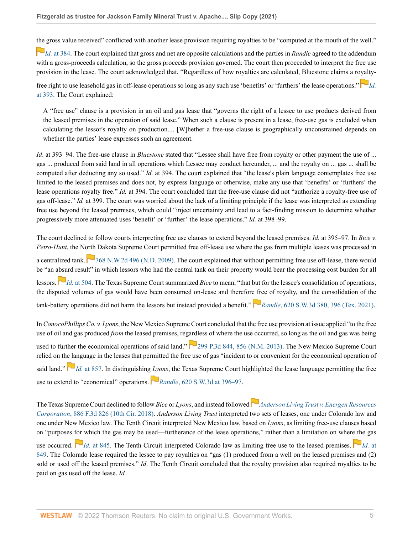[the](https://1.next.westlaw.com/Link/RelatedInformation/Flag?documentGuid=Iaa8552f0836211eb93ebd49cc10486a1&transitionType=InlineKeyCiteFlags&originationContext=docHeaderFlag&Rank=0&ppcid=3c308989805d4dd98b5a3b095cdaeed4&contextData=(sc.Default) ) gross value received" conflicted with another lease provision requiring royalties to be "computed at the mouth of the well."

*Id.* [at 384](http://www.westlaw.com/Link/Document/FullText?findType=Y&serNum=2053232417&pubNum=0004644&originatingDoc=I57458990623011ec8337ad9f61f6c691&refType=RP&fi=co_pp_sp_4644_384&originationContext=document&vr=3.0&rs=cblt1.0&transitionType=DocumentItem&contextData=(sc.Default)#co_pp_sp_4644_384). The court explained that gross and net are opposite calculations and the parties in *Randle* agreed to the addendum with a gross-proceeds calculation, so the gross proceeds provision governed. The court then proceeded to interpret the free use provision in the lease. The court acknowledged that, "Regardless of how royalties are calculated, Bluestone claims a r[oyalt](https://1.next.westlaw.com/Link/RelatedInformation/Flag?documentGuid=Iaa8552f0836211eb93ebd49cc10486a1&transitionType=InlineKeyCiteFlags&originationContext=docHeaderFlag&Rank=0&ppcid=3c308989805d4dd98b5a3b095cdaeed4&contextData=(sc.Default) )y-

free right to use leasehold gas in off-lease operations so long as any such use 'benefits' or 'furthers' the lease operations." *[Id.](http://www.westlaw.com/Link/Document/FullText?findType=Y&serNum=2053232417&pubNum=0004644&originatingDoc=I57458990623011ec8337ad9f61f6c691&refType=RP&fi=co_pp_sp_4644_393&originationContext=document&vr=3.0&rs=cblt1.0&transitionType=DocumentItem&contextData=(sc.Default)#co_pp_sp_4644_393)* [at 393.](http://www.westlaw.com/Link/Document/FullText?findType=Y&serNum=2053232417&pubNum=0004644&originatingDoc=I57458990623011ec8337ad9f61f6c691&refType=RP&fi=co_pp_sp_4644_393&originationContext=document&vr=3.0&rs=cblt1.0&transitionType=DocumentItem&contextData=(sc.Default)#co_pp_sp_4644_393) The Court explained:

A "free use" clause is a provision in an oil and gas lease that "governs the right of a lessee to use products derived from the leased premises in the operation of said lease." When such a clause is present in a lease, free-use gas is excluded when calculating the lessor's royalty on production.... [W]hether a free-use clause is geographically unconstrained depends on whether the parties' lease expresses such an agreement.

*Id*. at 393–94. The free-use clause in *Bluestone* stated that "Lessee shall have free from royalty or other payment the use of ... gas ... produced from said land in all operations which Lessee may conduct hereunder, ... and the royalty on ... gas ... shall be computed after deducting any so used." *Id.* at 394. The court explained that "the lease's plain language contemplates free use limited to the leased premises and does not, by express language or otherwise, make any use that 'benefits' or 'furthers' the lease operations royalty free." *Id.* at 394. The court concluded that the free-use clause did not "authorize a royalty-free use of gas off-lease." *Id.* at 399. The court was worried about the lack of a limiting principle if the lease was interpreted as extending free use beyond the leased premises, which could "inject uncertainty and lead to a fact-finding mission to determine whether progressively more attenuated uses 'benefit' or 'further' the lease operations." *Id.* at 398–99.

The court declined to follow courts interpreting free use clauses to extend beyond the leased premises. *Id.* at 395–97. In *Bice v. Petro-Hunt*, the North Dakota Supreme Court permitted free off-lease use where the gas from multiple leases was processed in a centralized tank.  $\Box$  [768 N.W.2d 496 \(N.D. 2009\)](http://www.westlaw.com/Link/Document/FullText?findType=Y&serNum=2019337677&pubNum=0000595&originatingDoc=I57458990623011ec8337ad9f61f6c691&refType=RP&originationContext=document&vr=3.0&rs=cblt1.0&transitionType=DocumentItem&contextData=(sc.Default)). The court explained that without permitting free use off-lease, there would be "an [absu](https://1.next.westlaw.com/Link/RelatedInformation/Flag?documentGuid=I2cb0996e6d3c11de9988d233d23fe599&transitionType=InlineKeyCiteFlags&originationContext=docHeaderFlag&Rank=0&ppcid=3c308989805d4dd98b5a3b095cdaeed4&contextData=(sc.Default) )rd result" in which lessors who had the central tank on their property would bear the processing cost burden for all lessors. **Id.** [at 504.](http://www.westlaw.com/Link/Document/FullText?findType=Y&serNum=2019337677&pubNum=0000595&originatingDoc=I57458990623011ec8337ad9f61f6c691&refType=RP&fi=co_pp_sp_595_504&originationContext=document&vr=3.0&rs=cblt1.0&transitionType=DocumentItem&contextData=(sc.Default)#co_pp_sp_595_504) The Texas Supreme Court summarized *Bice* to mean, "that but for the lessee's consolidation of operations, the disputed volumes of gas would have been consumed on-lease and therefor[e fre](https://1.next.westlaw.com/Link/RelatedInformation/Flag?documentGuid=Iaa8552f0836211eb93ebd49cc10486a1&transitionType=InlineKeyCiteFlags&originationContext=docHeaderFlag&Rank=0&ppcid=3c308989805d4dd98b5a3b095cdaeed4&contextData=(sc.Default) )e of royalty, and the consolidation of the tank-battery operations did not harm the lessors but instead provided a benefit." *Randle*[, 620 S.W.3d 380, 396 \(Tex. 2021\)](http://www.westlaw.com/Link/Document/FullText?findType=Y&serNum=2053232417&pubNum=0004644&originatingDoc=I57458990623011ec8337ad9f61f6c691&refType=RP&fi=co_pp_sp_4644_396&originationContext=document&vr=3.0&rs=cblt1.0&transitionType=DocumentItem&contextData=(sc.Default)#co_pp_sp_4644_396).

In *ConocoPhillips Co. v. Lyons*, the New Mexico Supreme Court concluded that the free use provision at issue applied "to the free use of oil and gas produced *from* the leased premises, regardless of where the use occurred, so long as the oil and gas was being used to further the economical operations of said land."  $\sim$  [299 P.3d 844, 856 \(N.M. 2013\).](http://www.westlaw.com/Link/Document/FullText?findType=Y&serNum=2028499266&pubNum=0004645&originatingDoc=I57458990623011ec8337ad9f61f6c691&refType=RP&fi=co_pp_sp_4645_856&originationContext=document&vr=3.0&rs=cblt1.0&transitionType=DocumentItem&contextData=(sc.Default)#co_pp_sp_4645_856) The New Mexico Supreme Court relied on th[e la](https://1.next.westlaw.com/Link/RelatedInformation/Flag?documentGuid=I6051cd83f1f911e1b60bb297d3d07bc5&transitionType=InlineKeyCiteFlags&originationContext=docHeaderFlag&Rank=0&ppcid=3c308989805d4dd98b5a3b095cdaeed4&contextData=(sc.Default) )nguage in the leases that permitted the free use of gas "incident to or convenient for the economical operation of said land."  $\Box$ Id. [at 857.](http://www.westlaw.com/Link/Document/FullText?findType=Y&serNum=2028499266&pubNum=0004645&originatingDoc=I57458990623011ec8337ad9f61f6c691&refType=RP&fi=co_pp_sp_4645_857&originationContext=document&vr=3.0&rs=cblt1.0&transitionType=DocumentItem&contextData=(sc.Default)#co_pp_sp_4645_857) In distinguishing *[Lyo](https://1.next.westlaw.com/Link/RelatedInformation/Flag?documentGuid=Iaa8552f0836211eb93ebd49cc10486a1&transitionType=InlineKeyCiteFlags&originationContext=docHeaderFlag&Rank=0&ppcid=3c308989805d4dd98b5a3b095cdaeed4&contextData=(sc.Default) )ns*, the Texas Supreme Court highlighted the lease language permitting the free use to extend to "economical" operations. **P**Randle[, 620 S.W.3d at 396–97](http://www.westlaw.com/Link/Document/FullText?findType=Y&serNum=2053232417&pubNum=0004644&originatingDoc=I57458990623011ec8337ad9f61f6c691&refType=RP&fi=co_pp_sp_4644_396&originationContext=document&vr=3.0&rs=cblt1.0&transitionType=DocumentItem&contextData=(sc.Default)#co_pp_sp_4644_396).

TheTexas Supreme Court declined to follow *Bice* or *Lyons*, and instead followed **[Anderson Living Trust v. Energen Resources](http://www.westlaw.com/Link/Document/FullText?findType=Y&serNum=2044168959&pubNum=0000506&originatingDoc=I57458990623011ec8337ad9f61f6c691&refType=RP&originationContext=document&vr=3.0&rs=cblt1.0&transitionType=DocumentItem&contextData=(sc.Default))** *Corporation*[, 886 F.3d 826 \(10th Cir. 2018\).](http://www.westlaw.com/Link/Document/FullText?findType=Y&serNum=2044168959&pubNum=0000506&originatingDoc=I57458990623011ec8337ad9f61f6c691&refType=RP&originationContext=document&vr=3.0&rs=cblt1.0&transitionType=DocumentItem&contextData=(sc.Default)) *Anderson Living Trust* interpreted two sets of leases, one under Colorado law and one under New Mexico law. The Tenth Circuit interpreted New Mexico law, based on *Lyons*, as limiting free-use clauses based on "purposes [for](https://1.next.westlaw.com/Link/RelatedInformation/Flag?documentGuid=I1e520770328d11e888d5f23feb60b681&transitionType=InlineKeyCiteFlags&originationContext=docHeaderFlag&Rank=0&ppcid=3c308989805d4dd98b5a3b095cdaeed4&contextData=(sc.Default) ) which the gas may be used—furtherance of the lease operations," rather than a limitation on wher[e th](https://1.next.westlaw.com/Link/RelatedInformation/Flag?documentGuid=I1e520770328d11e888d5f23feb60b681&transitionType=InlineKeyCiteFlags&originationContext=docHeaderFlag&Rank=0&ppcid=3c308989805d4dd98b5a3b095cdaeed4&contextData=(sc.Default) )e gas use occurred.  $\Box$  *[Id.](http://www.westlaw.com/Link/Document/FullText?findType=Y&serNum=2044168959&pubNum=0000506&originatingDoc=I57458990623011ec8337ad9f61f6c691&refType=RP&fi=co_pp_sp_506_849&originationContext=document&vr=3.0&rs=cblt1.0&transitionType=DocumentItem&contextData=(sc.Default)#co_pp_sp_506_849)* [at 845.](http://www.westlaw.com/Link/Document/FullText?findType=Y&serNum=2044168959&pubNum=0000506&originatingDoc=I57458990623011ec8337ad9f61f6c691&refType=RP&fi=co_pp_sp_506_845&originationContext=document&vr=3.0&rs=cblt1.0&transitionType=DocumentItem&contextData=(sc.Default)#co_pp_sp_506_845) The Tenth Circuit interpreted Colorado law as limiting free use to the leased premises.  $\Box$  *Id.* at [849](http://www.westlaw.com/Link/Document/FullText?findType=Y&serNum=2044168959&pubNum=0000506&originatingDoc=I57458990623011ec8337ad9f61f6c691&refType=RP&fi=co_pp_sp_506_849&originationContext=document&vr=3.0&rs=cblt1.0&transitionType=DocumentItem&contextData=(sc.Default)#co_pp_sp_506_849). The Colorado lease required the lessee to pay royalties on "gas (1) produced from a well on the leased premises and (2) sold or used off the leased premises." *Id*. The Tenth Circuit concluded that the royalty provision also required royalties to be paid on gas used off the lease. *Id.*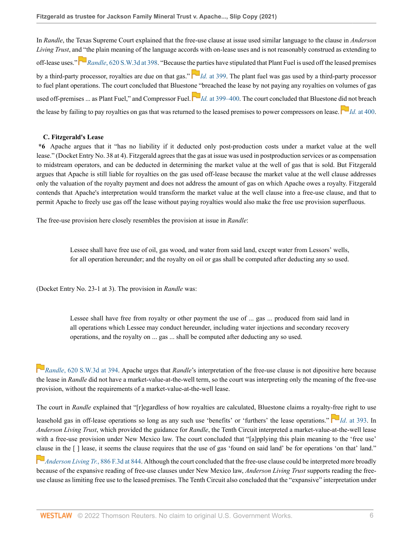In *Randle*, the Texas Supreme Court explained that the free-use clause at issue used similar language to the clause in *Anderson Living Trust*, an[d "t](https://1.next.westlaw.com/Link/RelatedInformation/Flag?documentGuid=Iaa8552f0836211eb93ebd49cc10486a1&transitionType=InlineKeyCiteFlags&originationContext=docHeaderFlag&Rank=0&ppcid=3c308989805d4dd98b5a3b095cdaeed4&contextData=(sc.Default) )he plain meaning of the language accords with on-lease uses and is not reasonably construed as extending to off-lease uses." *Randle*[, 620 S.W.3d at 398.](http://www.westlaw.com/Link/Document/FullText?findType=Y&serNum=2053232417&pubNum=0004644&originatingDoc=I57458990623011ec8337ad9f61f6c691&refType=RP&fi=co_pp_sp_4644_398&originationContext=document&vr=3.0&rs=cblt1.0&transitionType=DocumentItem&contextData=(sc.Default)#co_pp_sp_4644_398) "Because t[he pa](https://1.next.westlaw.com/Link/RelatedInformation/Flag?documentGuid=Iaa8552f0836211eb93ebd49cc10486a1&transitionType=InlineKeyCiteFlags&originationContext=docHeaderFlag&Rank=0&ppcid=3c308989805d4dd98b5a3b095cdaeed4&contextData=(sc.Default) )rties have stipulated that Plant Fuel is used off the leased premises by a third-party processor, royalties are due on that gas." *Id.* [at 399](http://www.westlaw.com/Link/Document/FullText?findType=Y&serNum=2053232417&pubNum=0004644&originatingDoc=I57458990623011ec8337ad9f61f6c691&refType=RP&fi=co_pp_sp_4644_399&originationContext=document&vr=3.0&rs=cblt1.0&transitionType=DocumentItem&contextData=(sc.Default)#co_pp_sp_4644_399). The plant fuel was gas used by a third-party processor to fuel plant operations. The court concluded that Bluesto[ne "](https://1.next.westlaw.com/Link/RelatedInformation/Flag?documentGuid=Iaa8552f0836211eb93ebd49cc10486a1&transitionType=InlineKeyCiteFlags&originationContext=docHeaderFlag&Rank=0&ppcid=3c308989805d4dd98b5a3b095cdaeed4&contextData=(sc.Default) )breached the lease by not paying any royalties on volumes of gas used off-premises ... as Plant Fuel," and Compressor Fuel.  $\Box$  *Id.* [at 399–400.](http://www.westlaw.com/Link/Document/FullText?findType=Y&serNum=2053232417&pubNum=0004644&originatingDoc=I57458990623011ec8337ad9f61f6c691&refType=RP&fi=co_pp_sp_4644_399&originationContext=document&vr=3.0&rs=cblt1.0&transitionType=DocumentItem&contextData=(sc.Default)#co_pp_sp_4644_399) The court concluded that Bluestone [did n](https://1.next.westlaw.com/Link/RelatedInformation/Flag?documentGuid=Iaa8552f0836211eb93ebd49cc10486a1&transitionType=InlineKeyCiteFlags&originationContext=docHeaderFlag&Rank=0&ppcid=3c308989805d4dd98b5a3b095cdaeed4&contextData=(sc.Default) )ot breach the lease by failing to pay royalties on gas that was returned to the leased premises to power compressors on lease.  $\Box$  *Id.* [at 400.](http://www.westlaw.com/Link/Document/FullText?findType=Y&serNum=2053232417&pubNum=0004644&originatingDoc=I57458990623011ec8337ad9f61f6c691&refType=RP&fi=co_pp_sp_4644_400&originationContext=document&vr=3.0&rs=cblt1.0&transitionType=DocumentItem&contextData=(sc.Default)#co_pp_sp_4644_400)

# **C. Fitzgerald's Lease**

**\*6** Apache argues that it "has no liability if it deducted only post-production costs under a market value at the well lease." (Docket Entry No. 38 at 4). Fitzgerald agrees that the gas at issue was used in postproduction services or as compensation to midstream operators, and can be deducted in determining the market value at the well of gas that is sold. But Fitzgerald argues that Apache is still liable for royalties on the gas used off-lease because the market value at the well clause addresses only the valuation of the royalty payment and does not address the amount of gas on which Apache owes a royalty. Fitzgerald contends that Apache's interpretation would transform the market value at the well clause into a free-use clause, and that to permit Apache to freely use gas off the lease without paying royalties would also make the free use provision superfluous.

The free-use provision here closely resembles the provision at issue in *Randle*:

Lessee shall have free use of oil, gas wood, and water from said land, except water from Lessors' wells, for all operation hereunder; and the royalty on oil or gas shall be computed after deducting any so used.

(Docket Entry No. 23-1 at 3). The provision in *Randle* was:

Lessee shall have free from royalty or other payment the use of ... gas ... produced from said land in all operations which Lessee may conduct hereunder, including water injections and secondary recovery operations, and the royalty on ... gas ... shall be computed after deducting any so used.

*[R](https://1.next.westlaw.com/Link/RelatedInformation/Flag?documentGuid=Iaa8552f0836211eb93ebd49cc10486a1&transitionType=InlineKeyCiteFlags&originationContext=docHeaderFlag&Rank=0&ppcid=3c308989805d4dd98b5a3b095cdaeed4&contextData=(sc.Default) )andle*[, 620 S.W.3d at 394](http://www.westlaw.com/Link/Document/FullText?findType=Y&serNum=2053232417&pubNum=0004644&originatingDoc=I57458990623011ec8337ad9f61f6c691&refType=RP&fi=co_pp_sp_4644_394&originationContext=document&vr=3.0&rs=cblt1.0&transitionType=DocumentItem&contextData=(sc.Default)#co_pp_sp_4644_394). Apache urges that *Randle*'s interpretation of the free-use clause is not dipositive here because the lease in *Randle* did not have a market-value-at-the-well term, so the court was interpreting only the meaning of the free-use provision, without the requirements of a market-value-at-the-well lease.

The court in *Randle* explained that "[r]egardless of how royalties are calculated, Bluestone claims a royalty[-fre](https://1.next.westlaw.com/Link/RelatedInformation/Flag?documentGuid=Iaa8552f0836211eb93ebd49cc10486a1&transitionType=InlineKeyCiteFlags&originationContext=docHeaderFlag&Rank=0&ppcid=3c308989805d4dd98b5a3b095cdaeed4&contextData=(sc.Default) )e right to use

leasehold gas in off-lease operations so long as any such use 'benefits' or 'furthers' the lease operations." **Id**[. at 393.](http://www.westlaw.com/Link/Document/FullText?findType=Y&serNum=2053232417&pubNum=0004644&originatingDoc=I57458990623011ec8337ad9f61f6c691&refType=RP&fi=co_pp_sp_4644_393&originationContext=document&vr=3.0&rs=cblt1.0&transitionType=DocumentItem&contextData=(sc.Default)#co_pp_sp_4644_393) In *Anderson Living Trust*, which provided the guidance for *Randle*, the Tenth Circuit interpreted a market-value-at-the-well lease with a free-use provision under New Mexico law. The court concluded that "[a]pplying this plain meaning to the 'free use' [clau](https://1.next.westlaw.com/Link/RelatedInformation/Flag?documentGuid=I1e520770328d11e888d5f23feb60b681&transitionType=InlineKeyCiteFlags&originationContext=docHeaderFlag&Rank=0&ppcid=3c308989805d4dd98b5a3b095cdaeed4&contextData=(sc.Default) )se in the [ ] lease, it seems the clause requires that the use of gas 'found on said land' be for operations 'on that' land."

*[Anderson Living Tr.](http://www.westlaw.com/Link/Document/FullText?findType=Y&serNum=2044168959&pubNum=0000506&originatingDoc=I57458990623011ec8337ad9f61f6c691&refType=RP&fi=co_pp_sp_506_844&originationContext=document&vr=3.0&rs=cblt1.0&transitionType=DocumentItem&contextData=(sc.Default)#co_pp_sp_506_844)*, 886 F.3d at 844. Although the court concluded that the free-use clause could be interpreted more broadly because of the expansive reading of free-use clauses under New Mexico law, *Anderson Living Trust* supports reading the freeuse clause as limiting free use to the leased premises. The Tenth Circuit also concluded that the "expansive" interpretation under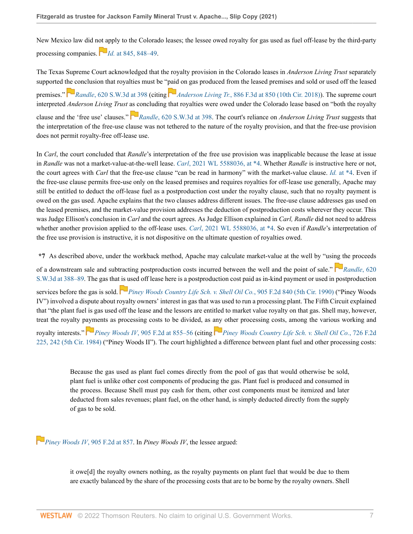New Mexico law did n[ot a](https://1.next.westlaw.com/Link/RelatedInformation/Flag?documentGuid=I1e520770328d11e888d5f23feb60b681&transitionType=InlineKeyCiteFlags&originationContext=docHeaderFlag&Rank=0&ppcid=3c308989805d4dd98b5a3b095cdaeed4&contextData=(sc.Default) )pply to the Colorado leases; the lessee owed royalty for gas used as fuel off-lease by the third-party processing companies. *Id.* [at 845, 848–49.](http://www.westlaw.com/Link/Document/FullText?findType=Y&serNum=2044168959&pubNum=0000506&originatingDoc=I57458990623011ec8337ad9f61f6c691&refType=RP&fi=co_pp_sp_506_845&originationContext=document&vr=3.0&rs=cblt1.0&transitionType=DocumentItem&contextData=(sc.Default)#co_pp_sp_506_845)

The Texas Supreme Court acknowledged that the royalty provision in the Colorado leases in *Anderson Living Trust* separately supported t[he c](https://1.next.westlaw.com/Link/RelatedInformation/Flag?documentGuid=Iaa8552f0836211eb93ebd49cc10486a1&transitionType=InlineKeyCiteFlags&originationContext=docHeaderFlag&Rank=0&ppcid=3c308989805d4dd98b5a3b095cdaeed4&contextData=(sc.Default) )onclusion that royalties must be "[paid](https://1.next.westlaw.com/Link/RelatedInformation/Flag?documentGuid=I1e520770328d11e888d5f23feb60b681&transitionType=InlineKeyCiteFlags&originationContext=docHeaderFlag&Rank=0&ppcid=3c308989805d4dd98b5a3b095cdaeed4&contextData=(sc.Default) ) on gas produced from the leased premises and sold or used off the leased premises." *Randle*[, 620 S.W.3d at 398](http://www.westlaw.com/Link/Document/FullText?findType=Y&serNum=2053232417&pubNum=0004644&originatingDoc=I57458990623011ec8337ad9f61f6c691&refType=RP&fi=co_pp_sp_4644_398&originationContext=document&vr=3.0&rs=cblt1.0&transitionType=DocumentItem&contextData=(sc.Default)#co_pp_sp_4644_398) (citing *Anderson Living Tr.*[, 886 F.3d at 850 \(10th Cir. 2018\)\)](http://www.westlaw.com/Link/Document/FullText?findType=Y&serNum=2044168959&pubNum=0000506&originatingDoc=I57458990623011ec8337ad9f61f6c691&refType=RP&fi=co_pp_sp_506_850&originationContext=document&vr=3.0&rs=cblt1.0&transitionType=DocumentItem&contextData=(sc.Default)#co_pp_sp_506_850). The supreme court interpreted *Anderson Living Trust* [as c](https://1.next.westlaw.com/Link/RelatedInformation/Flag?documentGuid=Iaa8552f0836211eb93ebd49cc10486a1&transitionType=InlineKeyCiteFlags&originationContext=docHeaderFlag&Rank=0&ppcid=3c308989805d4dd98b5a3b095cdaeed4&contextData=(sc.Default) )oncluding that royalties were owed under the Colorado lease based on "both the royalty clause and the 'free use' clauses." *Randle*[, 620 S.W.3d at 398](http://www.westlaw.com/Link/Document/FullText?findType=Y&serNum=2053232417&pubNum=0004644&originatingDoc=I57458990623011ec8337ad9f61f6c691&refType=RP&fi=co_pp_sp_4644_398&originationContext=document&vr=3.0&rs=cblt1.0&transitionType=DocumentItem&contextData=(sc.Default)#co_pp_sp_4644_398). The court's reliance on *Anderson Living Trust* suggests that the interpretation of the free-use clause was not tethered to the nature of the royalty provision, and that the free-use provision does not permit royalty-free off-lease use.

In *Carl*, the court concluded that *Randle*'s interpretation of the free use provision was inapplicable because the lease at issue in *Randle* was not a market-value-at-the-well lease. *Carl*[, 2021 WL 5588036, at \\*4.](http://www.westlaw.com/Link/Document/FullText?findType=Y&serNum=2055069371&pubNum=0000999&originatingDoc=I57458990623011ec8337ad9f61f6c691&refType=RP&fi=co_pp_sp_999_4&originationContext=document&vr=3.0&rs=cblt1.0&transitionType=DocumentItem&contextData=(sc.Default)#co_pp_sp_999_4) Whether *Randle* is instructive here or not, the court agrees with *Carl* that the free-use clause "can be read in harmony" with the market-value clause. *Id.* [at \\*4.](http://www.westlaw.com/Link/Document/FullText?findType=Y&serNum=2055069371&pubNum=0000999&originatingDoc=I57458990623011ec8337ad9f61f6c691&refType=RP&originationContext=document&vr=3.0&rs=cblt1.0&transitionType=DocumentItem&contextData=(sc.Default)) Even if the free-use clause permits free-use only on the leased premises and requires royalties for off-lease use generally, Apache may still be entitled to deduct the off-lease fuel as a postproduction cost under the royalty clause, such that no royalty payment is owed on the gas used. Apache explains that the two clauses address different issues. The free-use clause addresses gas used on the leased premises, and the market-value provision addresses the deduction of postproduction costs wherever they occur. This was Judge Ellison's conclusion in *Carl* and the court agrees. As Judge Ellison explained in *Carl, Randle* did not need to address whether another provision applied to the off-lease uses. *Carl*[, 2021 WL 5588036, at \\*4.](http://www.westlaw.com/Link/Document/FullText?findType=Y&serNum=2055069371&pubNum=0000999&originatingDoc=I57458990623011ec8337ad9f61f6c691&refType=RP&fi=co_pp_sp_999_4&originationContext=document&vr=3.0&rs=cblt1.0&transitionType=DocumentItem&contextData=(sc.Default)#co_pp_sp_999_4) So even if *Randle*'s interpretation of the free use provision is instructive, it is not dispositive on the ultimate question of royalties owed.

**\*7** As described above, under the workback method, Apache may calculate market-value at the well by "usi[ng t](https://1.next.westlaw.com/Link/RelatedInformation/Flag?documentGuid=Iaa8552f0836211eb93ebd49cc10486a1&transitionType=InlineKeyCiteFlags&originationContext=docHeaderFlag&Rank=0&ppcid=3c308989805d4dd98b5a3b095cdaeed4&contextData=(sc.Default) )he proceeds

of a downstream sale and subtracting postproduction costs incurred between the well and the point of sale." **[Randle](http://www.westlaw.com/Link/Document/FullText?findType=Y&serNum=2053232417&pubNum=0004644&originatingDoc=I57458990623011ec8337ad9f61f6c691&refType=RP&fi=co_pp_sp_4644_388&originationContext=document&vr=3.0&rs=cblt1.0&transitionType=DocumentItem&contextData=(sc.Default)#co_pp_sp_4644_388)**, 620 [S.W.3d at 388–89.](http://www.westlaw.com/Link/Document/FullText?findType=Y&serNum=2053232417&pubNum=0004644&originatingDoc=I57458990623011ec8337ad9f61f6c691&refType=RP&fi=co_pp_sp_4644_388&originationContext=document&vr=3.0&rs=cblt1.0&transitionType=DocumentItem&contextData=(sc.Default)#co_pp_sp_4644_388) The gas tha[t is u](https://1.next.westlaw.com/Link/RelatedInformation/Flag?documentGuid=I7d8ea124971f11d9a707f4371c9c34f0&transitionType=InlineKeyCiteFlags&originationContext=docHeaderFlag&Rank=0&ppcid=3c308989805d4dd98b5a3b095cdaeed4&contextData=(sc.Default) )sed off lease here is a postproduction cost paid as in-kind payment or used in postproduction

services before the gas is sold. *[Piney Woods Country Life Sch. v. Shell Oil Co.](http://www.westlaw.com/Link/Document/FullText?findType=Y&serNum=1990098905&pubNum=0000350&originatingDoc=I57458990623011ec8337ad9f61f6c691&refType=RP&originationContext=document&vr=3.0&rs=cblt1.0&transitionType=DocumentItem&contextData=(sc.Default))*, 905 F.2d 840 (5th Cir. 1990) ("Piney Woods IV") involved a dispute about royalty owners' interest in gas that was used to run a processing plant. The Fifth Circuit explained that "the plant fuel is gas used off the lease and the lessors are entitled to market value royalty on that gas. Shell may, however, treat the royalty p[aym](https://1.next.westlaw.com/Link/RelatedInformation/Flag?documentGuid=I7d8ea124971f11d9a707f4371c9c34f0&transitionType=InlineKeyCiteFlags&originationContext=docHeaderFlag&Rank=0&ppcid=3c308989805d4dd98b5a3b095cdaeed4&contextData=(sc.Default) )ents as processing costs to be divided, as [any](https://1.next.westlaw.com/Link/RelatedInformation/Flag?documentGuid=Ic69cab61944911d9bdd1cfdd544ca3a4&transitionType=InlineKeyCiteFlags&originationContext=docHeaderFlag&Rank=0&ppcid=3c308989805d4dd98b5a3b095cdaeed4&contextData=(sc.Default) ) other processing costs, among the various working and royalty interests." *Piney Woods IV*[, 905 F.2d at 855–56](http://www.westlaw.com/Link/Document/FullText?findType=Y&serNum=1990098905&pubNum=0000350&originatingDoc=I57458990623011ec8337ad9f61f6c691&refType=RP&fi=co_pp_sp_350_855&originationContext=document&vr=3.0&rs=cblt1.0&transitionType=DocumentItem&contextData=(sc.Default)#co_pp_sp_350_855) (citing *[Piney Woods Country Life Sch. v. Shell Oil Co.](http://www.westlaw.com/Link/Document/FullText?findType=Y&serNum=1984109013&pubNum=0000350&originatingDoc=I57458990623011ec8337ad9f61f6c691&refType=RP&fi=co_pp_sp_350_242&originationContext=document&vr=3.0&rs=cblt1.0&transitionType=DocumentItem&contextData=(sc.Default)#co_pp_sp_350_242)*, 726 F.2d

[225, 242 \(5th Cir. 1984\)](http://www.westlaw.com/Link/Document/FullText?findType=Y&serNum=1984109013&pubNum=0000350&originatingDoc=I57458990623011ec8337ad9f61f6c691&refType=RP&fi=co_pp_sp_350_242&originationContext=document&vr=3.0&rs=cblt1.0&transitionType=DocumentItem&contextData=(sc.Default)#co_pp_sp_350_242) ("Piney Woods II"). The court highlighted a difference between plant fuel and other processing costs:

Because the gas used as plant fuel comes directly from the pool of gas that would otherwise be sold, plant fuel is unlike other cost components of producing the gas. Plant fuel is produced and consumed in the process. Because Shell must pay cash for them, other cost components must be itemized and later deducted from sales revenues; plant fuel, on the other hand, is simply deducted directly from the supply of gas to be sold.

*[P](https://1.next.westlaw.com/Link/RelatedInformation/Flag?documentGuid=I7d8ea124971f11d9a707f4371c9c34f0&transitionType=InlineKeyCiteFlags&originationContext=docHeaderFlag&Rank=0&ppcid=3c308989805d4dd98b5a3b095cdaeed4&contextData=(sc.Default) )iney Woods IV*[, 905 F.2d at 857](http://www.westlaw.com/Link/Document/FullText?findType=Y&serNum=1990098905&pubNum=0000350&originatingDoc=I57458990623011ec8337ad9f61f6c691&refType=RP&fi=co_pp_sp_350_857&originationContext=document&vr=3.0&rs=cblt1.0&transitionType=DocumentItem&contextData=(sc.Default)#co_pp_sp_350_857). In *Piney Woods IV*, the lessee argued:

it owe[d] the royalty owners nothing, as the royalty payments on plant fuel that would be due to them are exactly balanced by the share of the processing costs that are to be borne by the royalty owners. Shell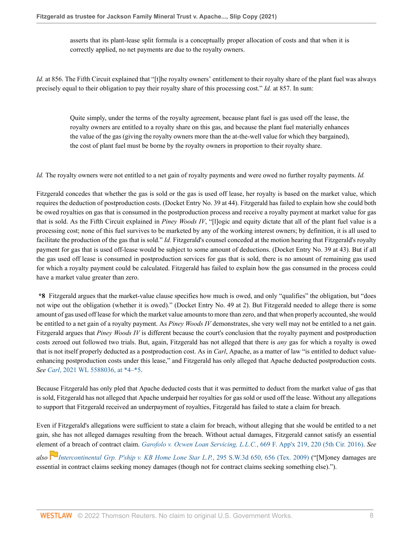asserts that its plant-lease split formula is a conceptually proper allocation of costs and that when it is correctly applied, no net payments are due to the royalty owners.

*Id.* at 856. The Fifth Circuit explained that "[t]he royalty owners' entitlement to their royalty share of the plant fuel was always precisely equal to their obligation to pay their royalty share of this processing cost." *Id.* at 857. In sum:

Quite simply, under the terms of the royalty agreement, because plant fuel is gas used off the lease, the royalty owners are entitled to a royalty share on this gas, and because the plant fuel materially enhances the value of the gas (giving the royalty owners more than the at-the-well value for which they bargained), the cost of plant fuel must be borne by the royalty owners in proportion to their royalty share.

*Id.* The royalty owners were not entitled to a net gain of royalty payments and were owed no further royalty payments. *Id.*

Fitzgerald concedes that whether the gas is sold or the gas is used off lease, her royalty is based on the market value, which requires the deduction of postproduction costs. (Docket Entry No. 39 at 44). Fitzgerald has failed to explain how she could both be owed royalties on gas that is consumed in the postproduction process and receive a royalty payment at market value for gas that is sold. As the Fifth Circuit explained in *Piney Woods IV*, "[l]ogic and equity dictate that all of the plant fuel value is a processing cost; none of this fuel survives to be marketed by any of the working interest owners; by definition, it is all used to facilitate the production of the gas that is sold." *Id.* Fitzgerald's counsel conceded at the motion hearing that Fitzgerald's royalty payment for gas that is used off-lease would be subject to some amount of deductions. (Docket Entry No. 39 at 43). But if all the gas used off lease is consumed in postproduction services for gas that is sold, there is no amount of remaining gas used for which a royalty payment could be calculated. Fitzgerald has failed to explain how the gas consumed in the process could have a market value greater than zero.

**\*8** Fitzgerald argues that the market-value clause specifies how much is owed, and only "qualifies" the obligation, but "does not wipe out the obligation (whether it is owed)." (Docket Entry No. 49 at 2). But Fitzgerald needed to allege there is some amount of gas used off lease for which the market value amounts to more than zero, and that when properly accounted, she would be entitled to a net gain of a royalty payment. As *Piney Woods IV* demonstrates, she very well may not be entitled to a net gain. Fitzgerald argues that *Piney Woods IV* is different because the court's conclusion that the royalty payment and postproduction costs zeroed out followed two trials. But, again, Fitzgerald has not alleged that there is *any* gas for which a royalty is owed that is not itself properly deducted as a postproduction cost. As in *Carl*, Apache, as a matter of law "is entitled to deduct valueenhancing postproduction costs under this lease," and Fitzgerald has only alleged that Apache deducted postproduction costs. *See Carl*[, 2021 WL 5588036, at \\*4–\\*5.](http://www.westlaw.com/Link/Document/FullText?findType=Y&serNum=2055069371&pubNum=0000999&originatingDoc=I57458990623011ec8337ad9f61f6c691&refType=RP&fi=co_pp_sp_999_5&originationContext=document&vr=3.0&rs=cblt1.0&transitionType=DocumentItem&contextData=(sc.Default)#co_pp_sp_999_5)

Because Fitzgerald has only pled that Apache deducted costs that it was permitted to deduct from the market value of gas that is sold, Fitzgerald has not alleged that Apache underpaid her royalties for gas sold or used off the lease. Without any allegations to support that Fitzgerald received an underpayment of royalties, Fitzgerald has failed to state a claim for breach.

Even if Fitzgerald's allegations were sufficient to state a claim for breach, without alleging that she would be entitled to a net gain, she has not alleged damages resulting from the breach. Without actual damages, Fitzgerald cannot satisfy an essential elem[ent](https://1.next.westlaw.com/Link/RelatedInformation/Flag?documentGuid=Ic4b5271d93df11de9988d233d23fe599&transitionType=InlineKeyCiteFlags&originationContext=docHeaderFlag&Rank=0&ppcid=3c308989805d4dd98b5a3b095cdaeed4&contextData=(sc.Default) ) of a breach of contract claim. *[Garofolo v. Ocwen Loan Servicing, L.L.C.](http://www.westlaw.com/Link/Document/FullText?findType=Y&serNum=2039906930&pubNum=0006538&originatingDoc=I57458990623011ec8337ad9f61f6c691&refType=RP&fi=co_pp_sp_6538_220&originationContext=document&vr=3.0&rs=cblt1.0&transitionType=DocumentItem&contextData=(sc.Default)#co_pp_sp_6538_220)*, 669 F. App'x 219, 220 (5th Cir. 2016). *See*

*also [Intercontinental Grp. P'ship v. KB Home Lone Star L.P.](http://www.westlaw.com/Link/Document/FullText?findType=Y&serNum=2019703267&pubNum=0004644&originatingDoc=I57458990623011ec8337ad9f61f6c691&refType=RP&fi=co_pp_sp_4644_656&originationContext=document&vr=3.0&rs=cblt1.0&transitionType=DocumentItem&contextData=(sc.Default)#co_pp_sp_4644_656)*, 295 S.W.3d 650, 656 (Tex. 2009) ("[M]oney damages are essential in contract claims seeking money damages (though not for contract claims seeking something else).").